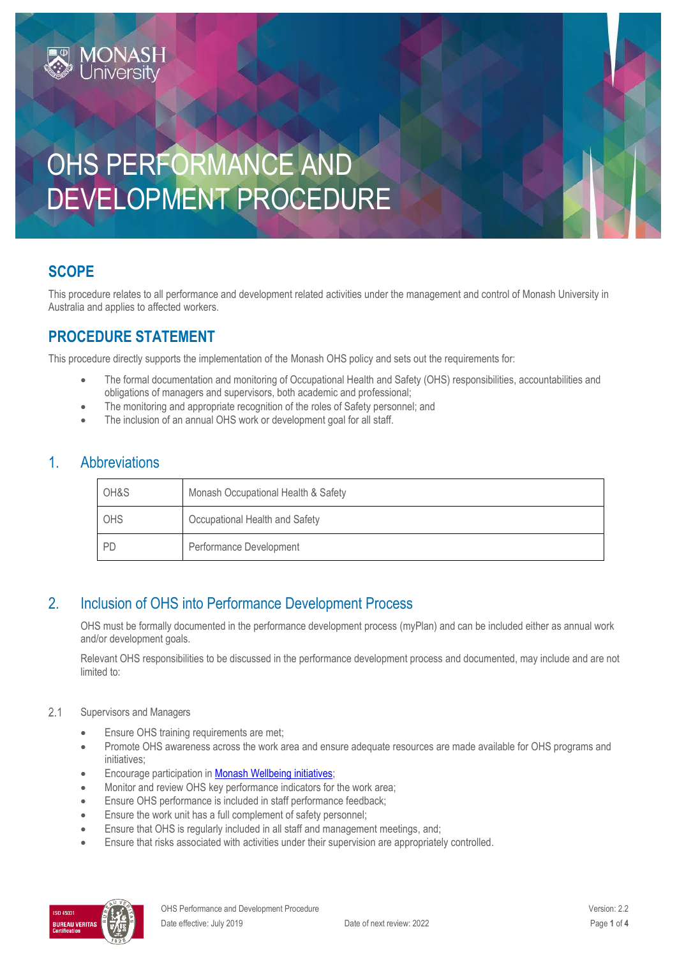# OHS PERFORMANCE AND DEVELOPMENT PROCEDURE

### **SCOPE**

This procedure relates to all performance and development related activities under the management and control of Monash University in Australia and applies to affected workers.

### **PROCEDURE STATEMENT**

**IONASH** 

This procedure directly supports the implementation of the [Monash OHS policy](http://www.monash.edu/__data/assets/pdf_file/0013/101362/ohs-policy.pdf) and sets out the requirements for:

- The formal documentation and monitoring of Occupational Health and Safety (OHS) responsibilities, accountabilities and obligations of managers and supervisors, both academic and professional;
- The monitoring and appropriate recognition of the roles of Safety personnel; and
- The inclusion of an annual OHS work or development goal for all staff.

#### 1. Abbreviations

| OH&S      | Monash Occupational Health & Safety |  |
|-----------|-------------------------------------|--|
| OHS       | Occupational Health and Safety      |  |
| <b>PD</b> | Performance Development             |  |

### 2. Inclusion of OHS into Performance Development Process

OHS must be formally documented in the performance development process (myPlan) and can be included either as annual work and/or development goals.

Relevant OHS responsibilities to be discussed in the performance development process and documented, may include and are not limited to:

#### $2.1$ Supervisors and Managers

- **Ensure OHS training requirements are met;**
- Promote OHS awareness across the work area and ensure adequate resources are made available for OHS programs and initiatives;
- **Encourage participation in [Monash Wellbeing initiatives;](http://www.monash.edu/ohs/health-and-wellbeing)**
- Monitor and review OHS key performance indicators for the work area;
- **Ensure OHS performance is included in staff performance feedback;**
- **Ensure the work unit has a full complement of safety personnel;**
- Ensure that OHS is regularly included in all staff and management meetings, and;
- Ensure that risks associated with activities under their supervision are appropriately controlled.

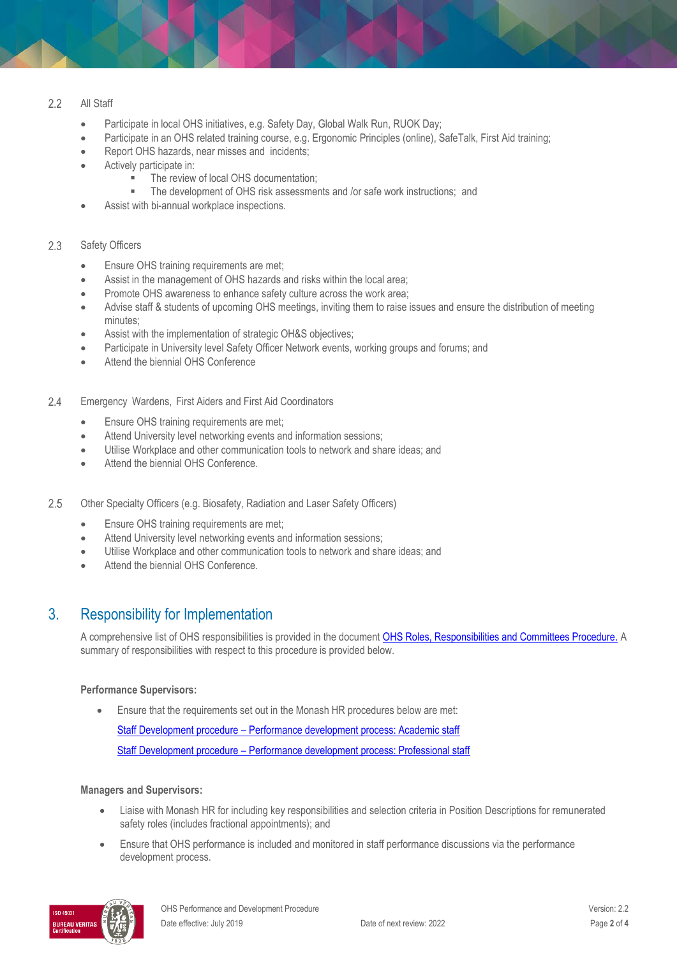#### $2.2$ All Staff

- Participate in local OHS initiatives, e.g. Safety Day, Global Walk Run, RUOK Day;
- Participate in an OHS related training course, e.g. Ergonomic Principles (online), SafeTalk, First Aid training;
- Report OHS hazards, near misses and incidents;
- Actively participate in:
	- The review of local OHS documentation;<br>■ The development of OHS risk assessme
	- The development of OHS risk assessments and /or safe work instructions; and
- Assist with bi-annual workplace inspections.

#### Safety Officers 2.3

- **Ensure OHS training requirements are met;**
- Assist in the management of OHS hazards and risks within the local area;
- Promote OHS awareness to enhance safety culture across the work area;
- Advise staff & students of upcoming OHS meetings, inviting them to raise issues and ensure the distribution of meeting minutes;
- Assist with the implementation of strategic OH&S objectives;
- Participate in University level Safety Officer Network events, working groups and forums; and
- Attend the biennial OHS Conference
- $2.4$ Emergency Wardens, First Aiders and First Aid Coordinators
	- **Ensure OHS training requirements are met;**
	- Attend University level networking events and information sessions;
	- Utilise Workplace and other communication tools to network and share ideas; and
	- Attend the biennial OHS Conference.
- 2.5 Other Specialty Officers (e.g. Biosafety, Radiation and Laser Safety Officers)
	- **Ensure OHS training requirements are met;**
	- Attend University level networking events and information sessions;
	- Utilise Workplace and other communication tools to network and share ideas; and
	- Attend the biennial OHS Conference.

#### 3. Responsibility for Implementation

A comprehensive list of OHS responsibilities is provided in the documen[t OHS Roles, Responsibilities and Committees Procedure.](https://publicpolicydms.monash.edu/Monash/documents/1935644) A summary of responsibilities with respect to this procedure is provided below.

#### **Performance Supervisors:**

Ensure that the requirements set out in the Monash HR procedures below are met:

Staff Development procedure – [Performance development process: Academic staff](https://publicpolicydms.monash.edu/Monash/documents/1935710) Staff Development procedure – [Performance development process: Professional staff](https://publicpolicydms.monash.edu/Monash/documents/1935712)

#### **Managers and Supervisors:**

- Liaise with Monash HR for including key responsibilities and selection criteria in Position Descriptions for remunerated safety roles (includes fractional appointments); and
- Ensure that OHS performance is included and monitored in staff performance discussions via the performance development process.

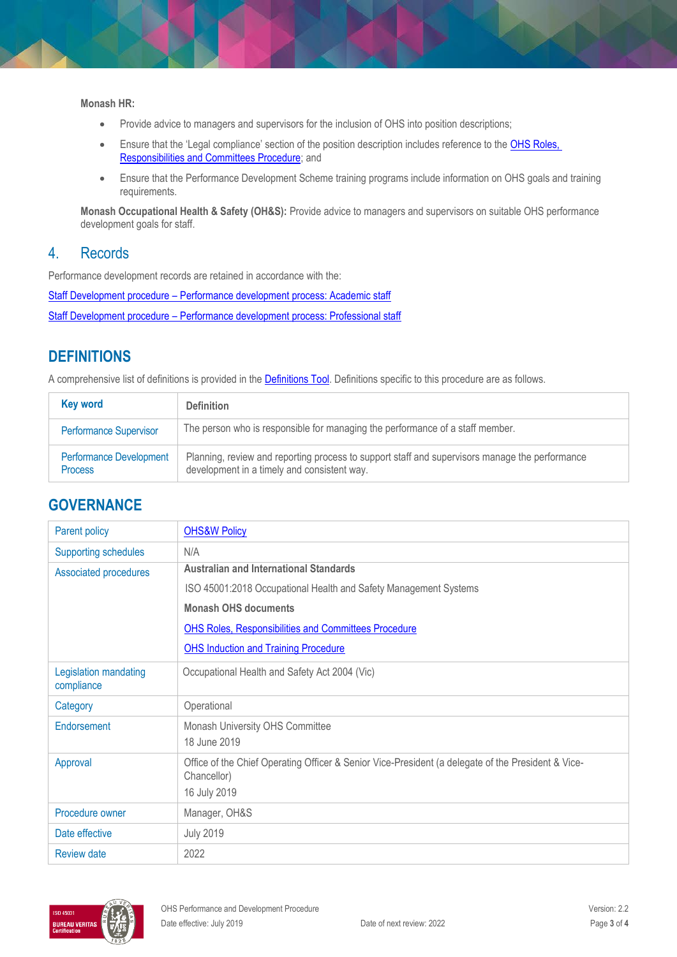**Monash HR:**

- Provide advice to managers and supervisors for the inclusion of OHS into position descriptions;
- **Ensure that the 'Legal compliance' section of the position description includes reference to the OHS Roles,** [Responsibilities and Committees Procedure;](https://publicpolicydms.monash.edu/Monash/documents/1935644) and
- Ensure that the Performance Development Scheme training programs include information on OHS goals and training requirements.

**Monash Occupational Health & Safety (OH&S):** Provide advice to managers and supervisors on suitable OHS performance development goals for staff.

#### 4. Records

Performance development records are retained in accordance with the:

Staff Development procedure – [Performance development process: Academic staff](https://publicpolicydms.monash.edu/Monash/documents/1935710) Staff Development procedure – [Performance development process: Professional staff](https://publicpolicydms.monash.edu/Monash/documents/1935712)

## **DEFINITIONS**

A comprehensive list of definitions is provided in the **Definitions Tool**. Definitions specific to this procedure are as follows.

| <b>Key word</b>                                  | <b>Definition</b>                                                                                                                             |
|--------------------------------------------------|-----------------------------------------------------------------------------------------------------------------------------------------------|
| <b>Performance Supervisor</b>                    | The person who is responsible for managing the performance of a staff member.                                                                 |
| <b>Performance Development</b><br><b>Process</b> | Planning, review and reporting process to support staff and supervisors manage the performance<br>development in a timely and consistent way. |

#### **GOVERNANCE**

| Parent policy                       | <b>OHS&amp;W Policy</b>                                                                                           |  |  |
|-------------------------------------|-------------------------------------------------------------------------------------------------------------------|--|--|
| <b>Supporting schedules</b>         | N/A                                                                                                               |  |  |
| Associated procedures               | <b>Australian and International Standards</b>                                                                     |  |  |
|                                     | ISO 45001:2018 Occupational Health and Safety Management Systems                                                  |  |  |
|                                     | <b>Monash OHS documents</b>                                                                                       |  |  |
|                                     | <b>OHS Roles, Responsibilities and Committees Procedure</b>                                                       |  |  |
|                                     | <b>OHS Induction and Training Procedure</b>                                                                       |  |  |
| Legislation mandating<br>compliance | Occupational Health and Safety Act 2004 (Vic)                                                                     |  |  |
| Category                            | Operational                                                                                                       |  |  |
| Endorsement                         | Monash University OHS Committee                                                                                   |  |  |
|                                     | 18 June 2019                                                                                                      |  |  |
| Approval                            | Office of the Chief Operating Officer & Senior Vice-President (a delegate of the President & Vice-<br>Chancellor) |  |  |
|                                     | 16 July 2019                                                                                                      |  |  |
| Procedure owner                     | Manager, OH&S                                                                                                     |  |  |
| Date effective                      | <b>July 2019</b>                                                                                                  |  |  |
| <b>Review date</b>                  | 2022                                                                                                              |  |  |